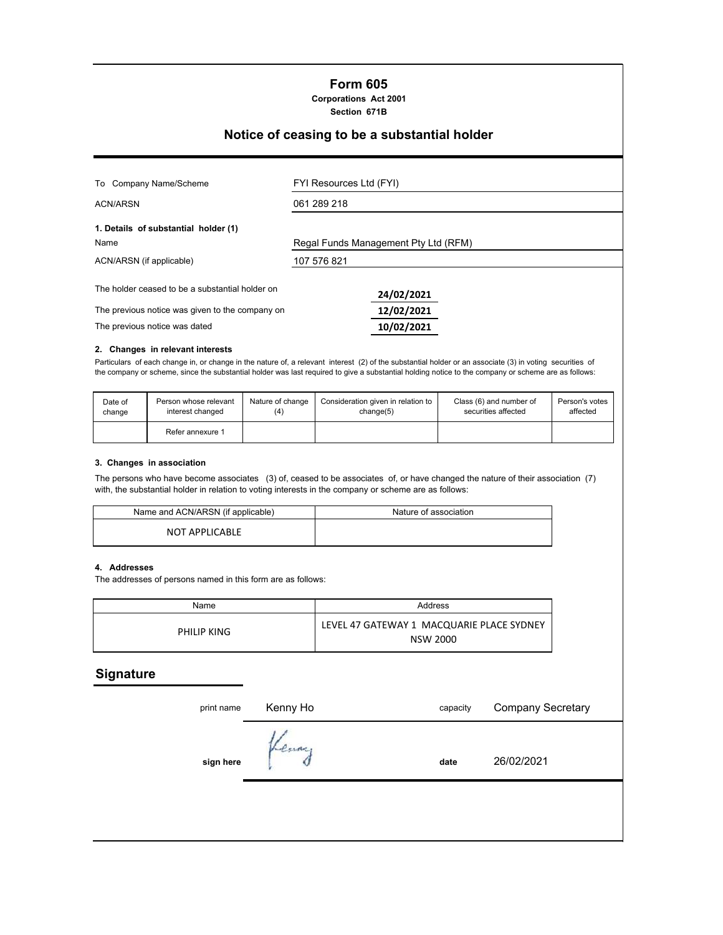# **Form 605**

**Corporations Act 2001 Section 671B**

## **Notice of ceasing to be a substantial holder**

| FYI Resources Ltd (FYI)              |  |  |  |
|--------------------------------------|--|--|--|
| 061 289 218                          |  |  |  |
| Regal Funds Management Pty Ltd (RFM) |  |  |  |
| 107 576 821                          |  |  |  |
| 24/02/2021                           |  |  |  |
| 12/02/2021<br>10/02/2021             |  |  |  |
|                                      |  |  |  |

### **2. Changes in relevant interests**

Particulars of each change in, or change in the nature of, a relevant interest (2) of the substantial holder or an associate (3) in voting securities of the company or scheme, since the substantial holder was last required to give a substantial holding notice to the company or scheme are as follows:

| Date of | Person whose relevant | Nature of change | Consideration given in relation to | Class (6) and number of | Person's votes |
|---------|-----------------------|------------------|------------------------------------|-------------------------|----------------|
| change  | interest changed      | (4)              | change(5)                          | securities affected     | affected       |
|         | Refer annexure 1      |                  |                                    |                         |                |

#### **3. Changes in association**

The persons who have become associates (3) of, ceased to be associates of, or have changed the nature of their association (7) with, the substantial holder in relation to voting interests in the company or scheme are as follows:

| Name and ACN/ARSN (if applicable) | Nature of association |
|-----------------------------------|-----------------------|
| NOT APPLICABLE                    |                       |

#### **4. Addresses**

The addresses of persons named in this form are as follows:

| Name        | Address                                                      |
|-------------|--------------------------------------------------------------|
| PHILIP KING | LEVEL 47 GATEWAY 1 MACQUARIE PLACE SYDNEY<br><b>NSW 2000</b> |

## **Signature**

| print name | Kenny Ho | capacity | <b>Company Secretary</b> |  |
|------------|----------|----------|--------------------------|--|
| sign here  | Venny    | date     | 26/02/2021               |  |
|            |          |          |                          |  |